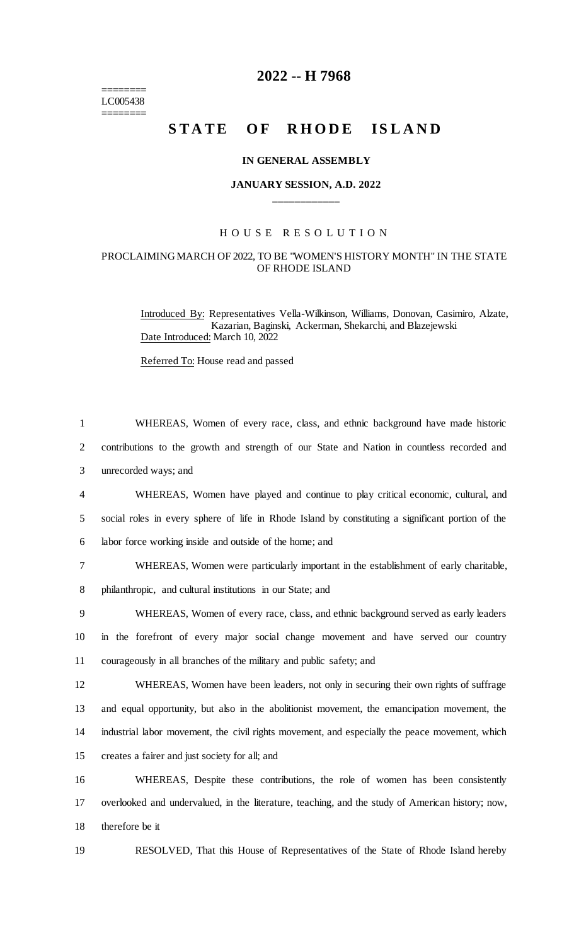$=$ LC005438 ========

## **2022 -- H 7968**

# STATE OF RHODE ISLAND

#### **IN GENERAL ASSEMBLY**

### **JANUARY SESSION, A.D. 2022 \_\_\_\_\_\_\_\_\_\_\_\_**

## H O U S E R E S O L U T I O N

#### PROCLAIMING MARCH OF 2022, TO BE "WOMEN'S HISTORY MONTH" IN THE STATE OF RHODE ISLAND

Introduced By: Representatives Vella-Wilkinson, Williams, Donovan, Casimiro, Alzate, Kazarian, Baginski, Ackerman, Shekarchi, and Blazejewski Date Introduced: March 10, 2022

Referred To: House read and passed

| $\mathbf{1}$   | WHEREAS, Women of every race, class, and ethnic background have made historic                     |
|----------------|---------------------------------------------------------------------------------------------------|
| 2              | contributions to the growth and strength of our State and Nation in countless recorded and        |
| 3              | unrecorded ways; and                                                                              |
| $\overline{4}$ | WHEREAS, Women have played and continue to play critical economic, cultural, and                  |
| 5              | social roles in every sphere of life in Rhode Island by constituting a significant portion of the |
| 6              | labor force working inside and outside of the home; and                                           |
| 7              | WHEREAS, Women were particularly important in the establishment of early charitable,              |
| 8              | philanthropic, and cultural institutions in our State; and                                        |
| 9              | WHEREAS, Women of every race, class, and ethnic background served as early leaders                |
| 10             | in the forefront of every major social change movement and have served our country                |
| 11             | courageously in all branches of the military and public safety; and                               |
| 12             | WHEREAS, Women have been leaders, not only in securing their own rights of suffrage               |
| 13             | and equal opportunity, but also in the abolitionist movement, the emancipation movement, the      |
| 14             | industrial labor movement, the civil rights movement, and especially the peace movement, which    |
| 15             | creates a fairer and just society for all; and                                                    |
| 16             | WHEREAS, Despite these contributions, the role of women has been consistently                     |
| 17             | overlooked and undervalued, in the literature, teaching, and the study of American history; now,  |
| 18             | therefore be it                                                                                   |
|                |                                                                                                   |

19 RESOLVED, That this House of Representatives of the State of Rhode Island hereby